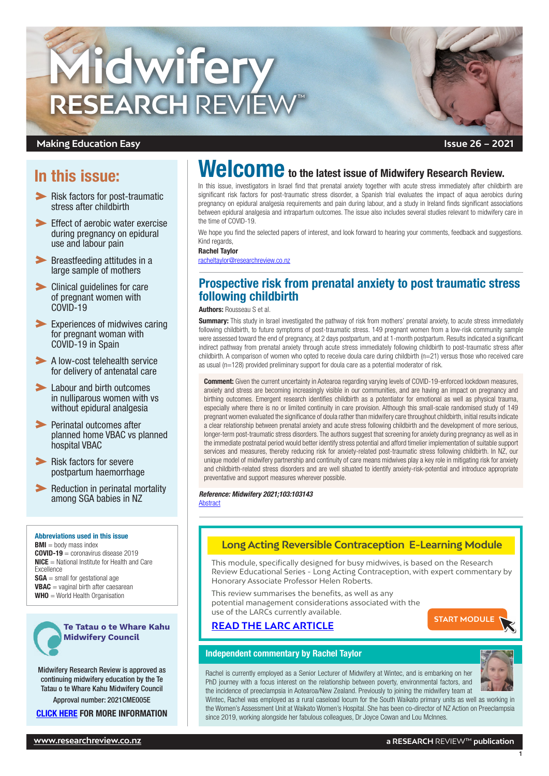

### **Making Education Easy**

# In this issue:

- **Risk factors for post-traumatic** stress after childbirth
- **Effect of aerobic water exercise** [during pregnancy on epidural](#page-1-0)  [use and labour pain](#page-1-0)
- **EXECUTE:** Breastfeeding attitudes in a [large sample of mothers](#page-1-0)
- [Clinical guidelines for care](#page-2-0)  [of pregnant women with](#page-2-0)  [COVID-19](#page-2-0)
- [Experiences of midwives caring](#page-2-0)  [for pregnant woman with](#page-2-0)  [COVID-19 in Spain](#page-2-0)
- A low-cost telehealth service [for delivery of antenatal care](#page-2-0)
- **Labour and birth outcomes** [in nulliparous women with vs](#page-2-0)  [without epidural analgesia](#page-2-0)
- **Perinatal outcomes after** [planned home VBAC vs planned](#page-3-0)  [hospital VBAC](#page-3-0)
- **Risk factors for severe** [postpartum haemorrhage](#page-3-0)
- **EXECUTE:** Reduction in perinatal mortality [among SGA babies in NZ](#page-3-0)

#### Abbreviations used in this issue

 $BMI =$  body mass index COVID-19 = coronavirus disease 2019 NICE = National Institute for Health and Care Excellence  $SGA =$  small for gestational age VBAC = vaginal birth after caesarean WHO = World Health Organisation



Midwifery Research Review is approved as continuing midwifery education by the Te Tatau o te Whare Kahu Midwifery Council Approval number: 2021CME005E

**[CLICK HERE](https://www.midwiferycouncil.health.nz/common/Uploaded%20files/Annual%20Practising%20Certificates/CPD%20resource%20final.pdf) FOR MORE INFORMATION** 

# Welcome to the latest issue of Midwifery Research Review.

In this issue, investigators in Israel find that prenatal anxiety together with acute stress immediately after childbirth are significant risk factors for post-traumatic stress disorder, a Spanish trial evaluates the impact of aqua aerobics during pregnancy on epidural analgesia requirements and pain during labour, and a study in Ireland finds significant associations between epidural analgesia and intrapartum outcomes. The issue also includes several studies relevant to midwifery care in the time of COVID-19.

We hope you find the selected papers of interest, and look forward to hearing your comments, feedback and suggestions. Kind regards.

#### Rachel Taylor

racheltaylo[r@researchreview.co.nz](mailto:racheltaylor%40researchreview.co.nz?subject=)

# Prospective risk from prenatal anxiety to post traumatic stress following childbirth

Authors: Rousseau S et al.

Summary: This study in Israel investigated the pathway of risk from mothers' prenatal anxiety, to acute stress immediately following childbirth, to future symptoms of post-traumatic stress. 149 pregnant women from a low-risk community sample were assessed toward the end of pregnancy, at 2 days postpartum, and at 1-month postpartum. Results indicated a significant indirect pathway from prenatal anxiety through acute stress immediately following childbirth to post-traumatic stress after childbirth. A comparison of women who opted to receive doula care during childbirth (n=21) versus those who received care as usual (n=128) provided preliminary support for doula care as a potential moderator of risk.

Comment: Given the current uncertainty in Aotearoa regarding varying levels of COVID-19-enforced lockdown measures, anxiety and stress are becoming increasingly visible in our communities, and are having an impact on pregnancy and birthing outcomes. Emergent research identifies childbirth as a potentiator for emotional as well as physical trauma, especially where there is no or limited continuity in care provision. Although this small-scale randomised study of 149 pregnant women evaluated the significance of doula rather than midwifery care throughout childbirth, initial results indicate a clear relationship between prenatal anxiety and acute stress following childbirth and the development of more serious, longer-term post-traumatic stress disorders. The authors suggest that screening for anxiety during pregnancy as well as in the immediate postnatal period would better identify stress potential and afford timelier implementation of suitable support services and measures, thereby reducing risk for anxiety-related post-traumatic stress following childbirth. In NZ, our unique model of midwifery partnership and continuity of care means midwives play a key role in mitigating risk for anxiety and childbirth-related stress disorders and are well situated to identify anxiety-risk-potential and introduce appropriate preventative and support measures wherever possible.

*Reference: Midwifery 2021;103:103143* **[Abstract](https://www.sciencedirect.com/science/article/abs/pii/S0266613821002230?via%3Dihub)** 

### **Long Acting Reversible Contraception E-Learning Module**

This module, specifically designed for busy midwives, is based on the Research Review Educational Series - Long Acting Contraception, with expert commentary by Honorary Associate Professor Helen Roberts.

This review summarises the benefits, as well as any potential management considerations associated with the use of the LARCs currently available.

#### **[READ THE LARC ARTICLE](https://www.researchreview.co.nz/nz/clinical-area/general-medicine/general-practice/educational-series-long-acting-reversible-contrac.aspx?hash=cab1cc4dfe03075fbfd7e557d48715c42b7cd3602d3acc33419d789f42924b77)**



#### Independent commentary by Rachel Taylor

1

Rachel is currently employed as a Senior Lecturer of Midwifery at Wintec, and is embarking on her PhD journey with a focus interest on the relationship between poverty, environmental factors, and the incidence of preeclampsia in Aotearoa/New Zealand. Previously to joining the midwifery team at

Wintec, Rachel was employed as a rural caseload locum for the South Waikato primary units as well as working in the Women's Assessment Unit at Waikato Women's Hospital. She has been co-director of NZ Action on Preeclampsia since 2019, working alongside her fabulous colleagues, Dr Joyce Cowan and Lou McInnes.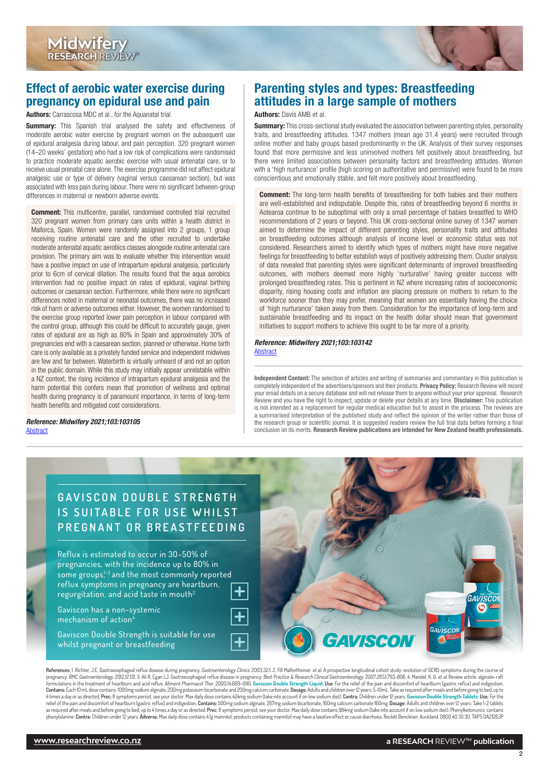<span id="page-1-0"></span>

# Effect of aerobic water exercise during pregnancy on epidural use and pain

Authors: Carrascosa MDC et al., for the Aquanatal trial

**Summary:** This Spanish trial analysed the safety and effectiveness of moderate aerobic water exercise by pregnant women on the subsequent use of epidural analgesia during labour, and pain perception. 320 pregnant women (14–20 weeks' gestation) who had a low risk of complications were randomised to practice moderate aquatic aerobic exercise with usual antenatal care, or to receive usual prenatal care alone. The exercise programme did not affect epidural analgesic use or type of delivery (vaginal versus caesarean section), but was associated with less pain during labour. There were no significant between-group differences in maternal or newborn adverse events.

**Comment:** This multicentre, parallel, randomised controlled trial recruited 320 pregnant women from primary care units within a health district in Mallorca, Spain. Women were randomly assigned into 2 groups, 1 group receiving routine antenatal care and the other recruited to undertake moderate antenatal aquatic aerobics classes alongside routine antenatal care provision. The primary aim was to evaluate whether this intervention would have a positive impact on use of intrapartum epidural analgesia, particularly prior to 6cm of cervical dilation. The results found that the aqua aerobics intervention had no positive impact on rates of epidural, vaginal birthing outcomes or caesarean section. Furthermore, while there were no significant differences noted in maternal or neonatal outcomes, there was no increased risk of harm or adverse outcomes either. However, the women randomised to the exercise group reported lower pain perception in labour compared with the control group, although this could be difficult to accurately gauge, given rates of epidural are as high as 80% in Spain and approximately 30% of pregnancies end with a caesarean section, planned or otherwise. Home birth care is only available as a privately funded service and independent midwives are few and far between. Waterbirth is virtually unheard of and not an option in the public domain. While this study may initially appear unrelatable within a NZ context, the rising incidence of intrapartum epidural analgesia and the harm potential this confers mean that promotion of wellness and optimal health during pregnancy is of paramount importance, in terms of long-term health benefits and mitigated cost considerations.

*Reference: Midwifery 2021;103:103105* [Abstract](https://www.sciencedirect.com/science/article/pii/S0266613821001856?via%3Dihub)

# Parenting styles and types: Breastfeeding attitudes in a large sample of mothers

#### Authors: Davis AMB et al.

**Summary:** This cross-sectional study evaluated the association between parenting styles, personality traits, and breastfeeding attitudes. 1347 mothers (mean age 31.4 years) were recruited through online mother and baby groups based predominantly in the UK. Analysis of their survey responses found that more permissive and less uninvolved mothers felt positively about breastfeeding, but there were limited associations between personality factors and breastfeeding attitudes. Women with a 'high nurturance' profile (high scoring on authoritative and permissive) were found to be more conscientious and emotionally stable, and felt more positively about breastfeeding.

**Comment:** The long-term health benefits of breastfeeding for both babies and their mothers are well-established and indisputable. Despite this, rates of breastfeeding beyond 6 months in Aotearoa continue to be suboptimal with only a small percentage of babies breastfed to WHO recommendations of 2 years or beyond. This UK cross-sectional online survey of 1347 women aimed to determine the impact of different parenting styles, personality traits and attitudes on breastfeeding outcomes although analysis of income level or economic status was not considered. Researchers aimed to identify which types of mothers might have more negative feelings for breastfeeding to better establish ways of positively addressing them. Cluster analysis of data revealed that parenting styles were significant determinants of improved breastfeeding outcomes, with mothers deemed more highly 'nurturative' having greater success with prolonged breastfeeding rates. This is pertinent in NZ where increasing rates of socioeconomic disparity, rising housing costs and inflation are placing pressure on mothers to return to the workforce sooner than they may prefer, meaning that women are essentially having the choice of 'high nurturance' taken away from them. Consideration for the importance of long-term and sustainable breastfeeding and its impact on the health dollar should mean that government initiatives to support mothers to achieve this ought to be far more of a priority.

#### *Reference: Midwifery 2021;103:103142* [Abstract](https://www.sciencedirect.com/science/article/abs/pii/S0266613821002229)

Independent Content: The selection of articles and writing of summaries and commentary in this publication is completely independent of the advertisers/sponsors and their products. Privacy Policy: Research Review will record your email details on a secure database and will not release them to anyone without your prior approval. Research Review and you have the right to inspect, update or delete your details at any time. Disclaimer: This publication is not intended as a replacement for regular medical education but to assist in the process. The reviews are a summarised interpretation of the published study and reflect the opinion of the writer rather than those of the research group or scientific journal. It is suggested readers review the full trial data before forming a final conclusion on its merits. Research Review publications are intended for New Zealand health professionals.

# **G A V I S C O N D O U B L E S T R E N G T H IS SUITABLE FOR USE WHILST PREGNANT OR BREASTFEEDING**

Reflux is estimated to occur in 30–50% of pregnancies, with the incidence up to 80% in some groups,<sup>1-3</sup> and the most commonly reported reflux symptoms in pregnancy are heartburn, regurgitation, and acid taste in mouth2

Gaviscon has a non-systemic mechanism of action<sup>4</sup>

Gaviscon Double Strength is suitable for use whilst pregnant or breastfeeding



References: 1. Richter, J.E. Gastroesophageal reflux disease during pregnancy. Gastroenterology Clinics. 2003;32:1.2. Fill Malfertheiner. et al. A prospective longitudinal cohort study: evolution of GERD symptoms during th pregnancy*. BMC Gastroenterology.* 2012;12:131. 3. Ali R. Egan LJ. Gastroesophageal reflux disease in pregnancy*. Best Practice & Research Clinical Gastroenterology.* 2007;21(5):793-806. 4. Mandel, K. G. et *al*. Review ar **Contains**: Each 10 mL dose contains: 1000mg sodium alginate, 200mg potassium bicarbonate and 200mg calcium carbonate. **Dosage:** Adults and children over 12 years: 5-10mL. Take as required after meals and before going to b relief of the pain and discomfort of heartburn (gastric reflux) and indigestion. **Contains:** 500mg sodium alginate, 267mg sodium bicarbonate, 160mg calcium carbonate 160mg. **Dosage:** Adults and children over 12 years: Take 1-2 tablets as required after meals and before going to bed, up to 4 times a day or as directed. **Prec:** If symptoms persist, see your doctor. Max daily dose contains 984mg sodium (take into account if on low sodium diet). Phenylketon

2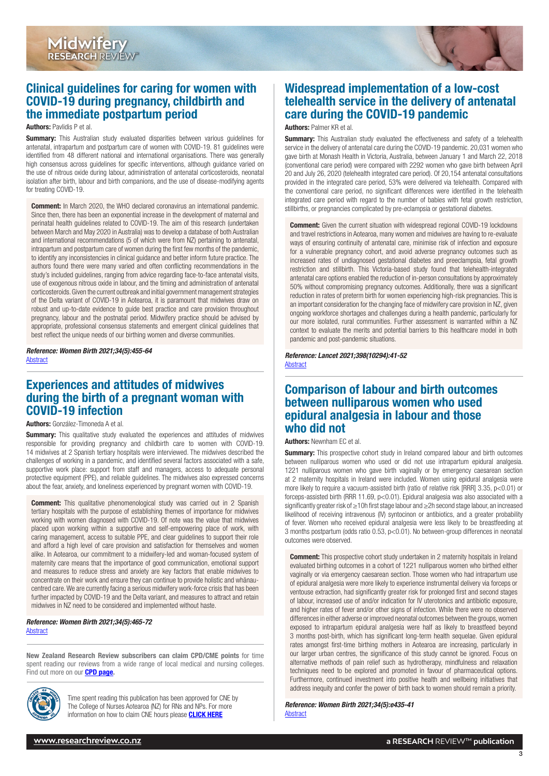

# <span id="page-2-0"></span>Clinical guidelines for caring for women with COVID-19 during pregnancy, childbirth and the immediate postpartum period

#### Authors: Pavlidis P et al.

**Summary:** This Australian study evaluated disparities between various quidelines for antenatal, intrapartum and postpartum care of women with COVID-19. 81 guidelines were identified from 48 different national and international organisations. There was generally high consensus across guidelines for specific interventions, although guidance varied on the use of nitrous oxide during labour, administration of antenatal corticosteroids, neonatal isolation after birth, labour and birth companions, and the use of disease-modifying agents for treating COVID-19.

**Comment:** In March 2020, the WHO declared coronavirus an international pandemic. Since then, there has been an exponential increase in the development of maternal and perinatal health guidelines related to COVID-19. The aim of this research (undertaken between March and May 2020 in Australia) was to develop a database of both Australian and international recommendations (5 of which were from NZ) pertaining to antenatal, intrapartum and postpartum care of women during the first few months of the pandemic, to identify any inconsistencies in clinical guidance and better inform future practice. The authors found there were many varied and often conflicting recommendations in the study's included guidelines, ranging from advice regarding face-to-face antenatal visits, use of exogenous nitrous oxide in labour, and the timing and administration of antenatal corticosteroids. Given the current outbreak and initial government management strategies of the Delta variant of COVID-19 in Aotearoa, it is paramount that midwives draw on robust and up-to-date evidence to guide best practice and care provision throughout pregnancy, labour and the postnatal period. Midwifery practice should be advised by appropriate, professional consensus statements and emergent clinical guidelines that best reflect the unique needs of our birthing women and diverse communities.

*Reference: Women Birth 2021;34(5):455-64* [Abstract](https://www.sciencedirect.com/science/article/abs/pii/S1871519220303723?via%3Dihub)

# Experiences and attitudes of midwives during the birth of a pregnant woman with COVID-19 infection

Authors: González-Timoneda A et al.

**Summary:** This qualitative study evaluated the experiences and attitudes of midwives responsible for providing pregnancy and childbirth care to women with COVID-19. 14 midwives at 2 Spanish tertiary hospitals were interviewed. The midwives described the challenges of working in a pandemic, and identified several factors associated with a safe, supportive work place: support from staff and managers, access to adequate personal protective equipment (PPE), and reliable guidelines. The midwives also expressed concerns about the fear, anxiety, and loneliness experienced by pregnant women with COVID-19.

**Comment:** This qualitative phenomenological study was carried out in 2 Spanish tertiary hospitals with the purpose of establishing themes of importance for midwives working with women diagnosed with COVID-19. Of note was the value that midwives placed upon working within a supportive and self-empowering place of work, with caring management, access to suitable PPE, and clear guidelines to support their role and afford a high level of care provision and satisfaction for themselves and women alike. In Aotearoa, our commitment to a midwifery-led and woman-focused system of maternity care means that the importance of good communication, emotional support and measures to reduce stress and anxiety are key factors that enable midwives to concentrate on their work and ensure they can continue to provide holistic and whānaucentred care. We are currently facing a serious midwifery work-force crisis that has been further impacted by COVID-19 and the Delta variant, and measures to attract and retain midwives in NZ need to be considered and implemented without haste.

#### *Reference: Women Birth 2021;34(5):465-72* [Abstract](https://www.sciencedirect.com/science/article/abs/pii/S1871519220303796?via%3Dihub)

New Zealand Research Review subscribers can claim CPD/CME points for time spent reading our reviews from a wide range of local medical and nursing colleges. Find out more on our **[CPD page.](http://www.researchreview.co.nz/cpd?site=nz)** 



Time spent reading this publication has been approved for CNE by The College of Nurses Aotearoa (NZ) for RNs and NPs. For more information on how to claim CNE hours please **[CLICK HERE](http://www.nurse.org.nz/continuing-nursing-education-cne-template.html)** 

# Widespread implementation of a low-cost telehealth service in the delivery of antenatal care during the COVID-19 pandemic

#### Authors: Palmer KR et al.

**Summary:** This Australian study evaluated the effectiveness and safety of a telehealth service in the delivery of antenatal care during the COVID-19 pandemic. 20,031 women who gave birth at Monash Health in Victoria, Australia, between January 1 and March 22, 2018 (conventional care period) were compared with 2292 women who gave birth between April 20 and July 26, 2020 (telehealth integrated care period). Of 20,154 antenatal consultations provided in the integrated care period, 53% were delivered via telehealth. Compared with the conventional care period, no significant differences were identified in the telehealth integrated care period with regard to the number of babies with fetal growth restriction, stillbirths, or pregnancies complicated by pre-eclampsia or gestational diabetes.

**Comment:** Given the current situation with widespread regional COVID-19 lockdowns and travel restrictions in Aotearoa, many women and midwives are having to re-evaluate ways of ensuring continuity of antenatal care, minimise risk of infection and exposure for a vulnerable pregnancy cohort, and avoid adverse pregnancy outcomes such as increased rates of undiagnosed gestational diabetes and preeclampsia, fetal growth restriction and stillbirth. This Victoria-based study found that telehealth-integrated antenatal care options enabled the reduction of in-person consultations by approximately 50% without compromising pregnancy outcomes. Additionally, there was a significant reduction in rates of preterm birth for women experiencing high-risk pregnancies. This is an important consideration for the changing face of midwifery care provision in NZ, given ongoing workforce shortages and challenges during a health pandemic, particularly for our more isolated, rural communities. Further assessment is warranted within a NZ context to evaluate the merits and potential barriers to this healthcare model in both pandemic and post-pandemic situations.

*Reference: Lancet 2021;398(10294):41-52* **[Abstract](https://www.thelancet.com/journals/lancet/article/PIIS0140-6736(21)00668-1/fulltext)** 

## Comparison of labour and birth outcomes between nulliparous women who used epidural analgesia in labour and those who did not

#### Authors: Newnham EC et al.

**Summary:** This prospective cohort study in Ireland compared labour and birth outcomes between nulliparous women who used or did not use intrapartum epidural analgesia. 1221 nulliparous women who gave birth vaginally or by emergency caesarean section at 2 maternity hospitals in Ireland were included. Women using epidural analgesia were more likely to require a vacuum-assisted birth (ratio of relative risk [RRR] 3.35, p<0.01) or forceps-assisted birth (RRR 11.69,  $p < 0.01$ ). Epidural analgesia was also associated with a significantly greater risk of ≥10h first stage labour and ≥2h second stage labour, an increased likelihood of receiving intravenous (IV) syntocinon or antibiotics, and a greater probability of fever. Women who received epidural analgesia were less likely to be breastfeeding at 3 months postpartum (odds ratio 0.53, p<0.01). No between-group differences in neonatal outcomes were observed.

**Comment:** This prospective cohort study undertaken in 2 maternity hospitals in Ireland evaluated birthing outcomes in a cohort of 1221 nulliparous women who birthed either vaginally or via emergency caesarean section. Those women who had intrapartum use of epidural analgesia were more likely to experience instrumental delivery via forceps or ventouse extraction, had significantly greater risk for prolonged first and second stages of labour, increased use of and/or indication for IV uterotonics and antibiotic exposure, and higher rates of fever and/or other signs of infection. While there were no observed differences in either adverse or improved neonatal outcomes between the groups, women exposed to intrapartum epidural analgesia were half as likely to breastfeed beyond 3 months post-birth, which has significant long-term health sequelae. Given epidural rates amongst first-time birthing mothers in Aotearoa are increasing, particularly in our larger urban centres, the significance of this study cannot be ignored. Focus on alternative methods of pain relief such as hydrotherapy, mindfulness and relaxation techniques need to be explored and promoted in favour of pharmaceutical options. Furthermore, continued investment into positive health and wellbeing initiatives that address inequity and confer the power of birth back to women should remain a priority.

*Reference: Women Birth 2021;34(5):e435-41* **[Abstract](https://www.sciencedirect.com/science/article/abs/pii/S1871519220303188?via%3Dihub)** 

3